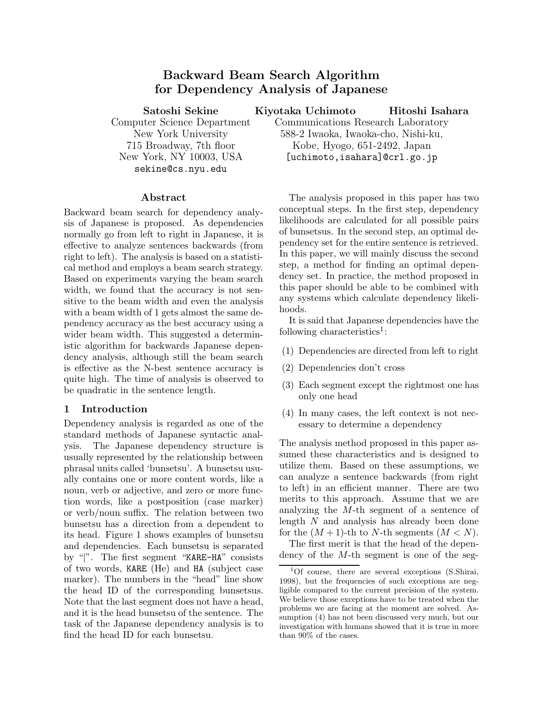# **Backward Beam Search Algorithm for Dependency Analysis of Japanese**

**Satoshi Sekine** Computer Science Department New York University 715 Broadway, 7th floor New York, NY 10003, USA sekine@cs.nyu.edu

## **Abstract**

Backward beam search for dependency analysis of Japanese is proposed. As dependencies normally go from left to right in Japanese, it is effective to analyze sentences backwards (from right to left). The analysis is based on a statistical method and employs a beam search strategy. Based on experiments varying the beam search width, we found that the accuracy is not sensitive to the beam width and even the analysis with a beam width of 1 gets almost the same dependency accuracy as the best accuracy using a wider beam width. This suggested a deterministic algorithm for backwards Japanese dependency analysis, although still the beam search is effective as the N-best sentence accuracy is quite high. The time of analysis is observed to be quadratic in the sentence length.

## **1 Introduction**

Dependency analysis is regarded as one of the standard methods of Japanese syntactic analysis. The Japanese dependency structure is usually represented by the relationship between phrasal units called 'bunsetsu'. A bunsetsu usually contains one or more content words, like a noun, verb or adjective, and zero or more function words, like a postposition (case marker) or verb/noun suffix. The relation between two bunsetsu has a direction from a dependent to its head. Figure 1 shows examples of bunsetsu and dependencies. Each bunsetsu is separated by "|". The first segment "KARE-HA" consists of two words, KARE (He) and HA (subject case marker). The numbers in the "head" line show the head ID of the corresponding bunsetsus. Note that the last segment does not have a head, and it is the head bunsetsu of the sentence. The task of the Japanese dependency analysis is to find the head ID for each bunsetsu.

**Kiyotaka Uchimoto Hitoshi Isahara**

Communications Research Laboratory 588-2 Iwaoka, Iwaoka-cho, Nishi-ku, Kobe, Hyogo, 651-2492, Japan [uchimoto,isahara]@crl.go.jp

The analysis proposed in this paper has two conceptual steps. In the first step, dependency likelihoods are calculated for all possible pairs of bunsetsus. In the second step, an optimal dependency set for the entire sentence is retrieved. In this paper, we will mainly discuss the second step, a method for finding an optimal dependency set. In practice, the method proposed in this paper should be able to be combined with any systems which calculate dependency likelihoods.

It is said that Japanese dependencies have the following characteristics<sup>1</sup>:

- (1) Dependencies are directed from left to right
- (2) Dependencies don't cross
- (3) Each segment except the rightmost one has only one head
- (4) In many cases, the left context is not necessary to determine a dependency

The analysis method proposed in this paper assumed these characteristics and is designed to utilize them. Based on these assumptions, we can analyze a sentence backwards (from right to left) in an efficient manner. There are two merits to this approach. Assume that we are analyzing the M-th segment of a sentence of length N and analysis has already been done for the  $(M + 1)$ -th to N-th segments  $(M < N)$ .

The first merit is that the head of the dependency of the  $M$ -th segment is one of the seg-

<sup>&</sup>lt;sup>1</sup>Of course, there are several exceptions (S.Shirai, 1998), but the frequencies of such exceptions are negligible compared to the current precision of the system. We believe those exceptions have to be treated when the problems we are facing at the moment are solved. Assumption (4) has not been discussed very much, but our investigation with humans showed that it is true in more than 90% of the cases.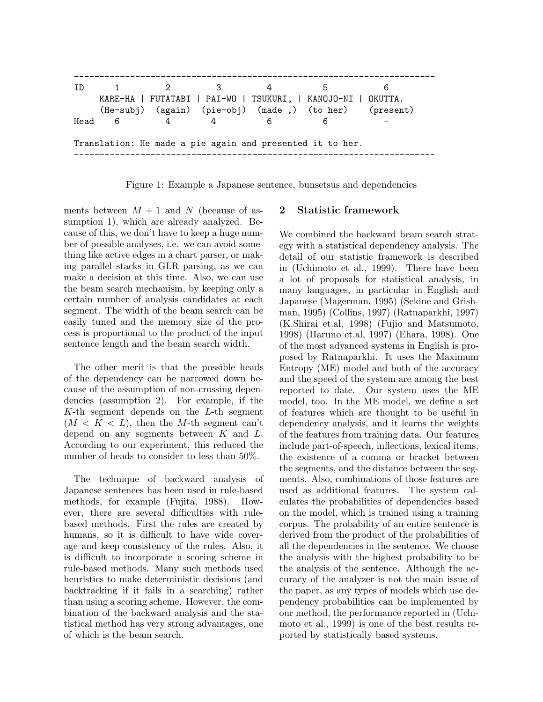

Figure 1: Example a Japanese sentence, bunsetsus and dependencies

ments between  $M + 1$  and N (because of assumption 1), which are already analyzed. Because of this, we don't have to keep a huge number of possible analyses, i.e. we can avoid something like active edges in a chart parser, or making parallel stacks in GLR parsing, as we can make a decision at this time. Also, we can use the beam search mechanism, by keeping only a certain number of analysis candidates at each segment. The width of the beam search can be easily tuned and the memory size of the process is proportional to the product of the input sentence length and the beam search width.

The other merit is that the possible heads of the dependency can be narrowed down because of the assumption of non-crossing dependencies (assumption 2). For example, if the K-th segment depends on the L-th segment  $(M < K < L)$ , then the M-th segment can't depend on any segments between  $K$  and  $L$ . According to our experiment, this reduced the number of heads to consider to less than 50%.

The technique of backward analysis of Japanese sentences has been used in rule-based methods, for example (Fujita, 1988). However, there are several difficulties with rulebased methods. First the rules are created by humans, so it is difficult to have wide coverage and keep consistency of the rules. Also, it is difficult to incorporate a scoring scheme in rule-based methods. Many such methods used heuristics to make deterministic decisions (and backtracking if it fails in a searching) rather than using a scoring scheme. However, the combination of the backward analysis and the statistical method has very strong advantages, one of which is the beam search.

# **2 Statistic framework**

We combined the backward beam search strategy with a statistical dependency analysis. The detail of our statistic framework is described in (Uchimoto et al., 1999). There have been a lot of proposals for statistical analysis, in many languages, in particular in English and Japanese (Magerman, 1995) (Sekine and Grishman, 1995) (Collins, 1997) (Ratnaparkhi, 1997) (K.Shirai et.al, 1998) (Fujio and Matsumoto, 1998) (Haruno et.al, 1997) (Ehara, 1998). One of the most advanced systems in English is proposed by Ratnaparkhi. It uses the Maximum Entropy (ME) model and both of the accuracy and the speed of the system are among the best reported to date. Our system uses the ME model, too. In the ME model, we define a set of features which are thought to be useful in dependency analysis, and it learns the weights of the features from training data. Our features include part-of-speech, inflections, lexical items, the existence of a comma or bracket between the segments, and the distance between the segments. Also, combinations of those features are used as additional features. The system calculates the probabilities of dependencies based on the model, which is trained using a training corpus. The probability of an entire sentence is derived from the product of the probabilities of all the dependencies in the sentence. We choose the analysis with the highest probability to be the analysis of the sentence. Although the accuracy of the analyzer is not the main issue of the paper, as any types of models which use dependency probabilities can be implemented by our method, the performance reported in (Uchimoto et al., 1999) is one of the best results reported by statistically based systems.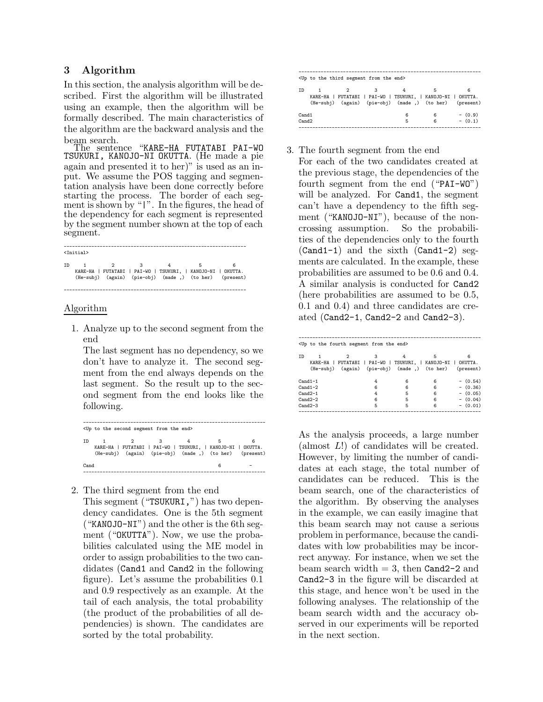# **3 Algorithm**

In this section, the analysis algorithm will be described. First the algorithm will be illustrated using an example, then the algorithm will be formally described. The main characteristics of the algorithm are the backward analysis and the beam search.

The sentence "KARE-HA FUTATABI PAI-WO TSUKURI, KANOJO-NI OKUTTA. (He made a pie again and presented it to her)" is used as an input. We assume the POS tagging and segmentation analysis have been done correctly before starting the process. The border of each segment is shown by "|". In the figures, the head of the dependency for each segment is represented by the segment number shown at the top of each segment.

#### ----------------------------------------------------------------- <Initial>

ID 1 2 3 4 5 6 KARE-HA | FUTATABI | PAI-WO | TSUKURI, | KANOJO-NI | OKUTTA. (He-subj) (again) (pie-obj) (made ,) (to her) (present)

-----------------------------------------------------------------

## Algorithm

1. Analyze up to the second segment from the end

The last segment has no dependency, so we don't have to analyze it. The second segment from the end always depends on the last segment. So the result up to the second segment from the end looks like the following.

| <up end="" from="" second="" segment="" the="" to=""></up> |                |   |     |                                                              |  |  |  |
|------------------------------------------------------------|----------------|---|-----|--------------------------------------------------------------|--|--|--|
|                                                            |                |   |     |                                                              |  |  |  |
| <b>TD</b>                                                  | $\overline{1}$ | 2 | - 3 |                                                              |  |  |  |
|                                                            |                |   |     | KARE-HA   FUTATABI   PAI-WO   TSUKURI,   KANOJO-NI   OKUTTA. |  |  |  |
|                                                            |                |   |     | (He-subj) (again) (pie-obj) (made,) (to her) (present)       |  |  |  |
| Cand                                                       |                |   |     |                                                              |  |  |  |
|                                                            |                |   |     |                                                              |  |  |  |

2. The third segment from the end

This segment ("TSUKURI,") has two dependency candidates. One is the 5th segment ("KANOJO-NI") and the other is the 6th segment ("OKUTTA"). Now, we use the probabilities calculated using the ME model in order to assign probabilities to the two candidates (Cand1 and Cand2 in the following figure). Let's assume the probabilities 0.1 and 0.9 respectively as an example. At the tail of each analysis, the total probability (the product of the probabilities of all dependencies) is shown. The candidates are sorted by the total probability.

| <up end="" from="" segment="" the="" third="" to=""></up> |   |               |              |                                                                                                                        |        |                        |  |  |
|-----------------------------------------------------------|---|---------------|--------------|------------------------------------------------------------------------------------------------------------------------|--------|------------------------|--|--|
| T <sub>D</sub>                                            | 1 | $\mathcal{D}$ | $\mathbf{3}$ | KARE-HA   FUTATABI   PAI-WO   TSUKURI,   KANOJO-NI   OKUTTA,<br>(He-subj) (again) (pie-obj) (made,) (to her) (present) | 5      | 6                      |  |  |
| Cand <sub>1</sub><br>Cand2                                |   |               |              | 6<br>5                                                                                                                 | 6<br>6 | $-$ (0.9)<br>$-$ (0.1) |  |  |

3. The fourth segment from the end

For each of the two candidates created at the previous stage, the dependencies of the fourth segment from the end ("PAI-WO") will be analyzed. For Cand1, the segment can't have a dependency to the fifth segment ("KANOJO-NI"), because of the noncrossing assumption. So the probabilities of the dependencies only to the fourth (Cand1-1) and the sixth (Cand1-2) segments are calculated. In the example, these probabilities are assumed to be 0.6 and 0.4. A similar analysis is conducted for Cand2 (here probabilities are assumed to be 0.5, 0.1 and 0.4) and three candidates are created (Cand2-1, Cand2-2 and Cand2-3).

|                        | <up end="" fourth="" from="" segment="" the="" to=""></up>                                                    |        |        |                          |
|------------------------|---------------------------------------------------------------------------------------------------------------|--------|--------|--------------------------|
| TD<br>(He-subi)        | з<br>2<br>KARE-HA   FUTATABI   PAI-WO   TSUKURI,   KANOJO-NI   OKUTTA.<br>(again) (pie-obj) (made ,) (to her) |        | 5      | 6<br>(present)           |
| $Cand1-1$<br>$Cand1-2$ | 4<br>6                                                                                                        | 6<br>6 | 6<br>6 | $-$ (0.54)<br>$-$ (0.36) |
| $Cand2-1$              | 4                                                                                                             | 5      | 6      | $-$ (0.05)               |
| $Cand2-2$              | 6                                                                                                             | 5      | 6      | $-$ (0.04)               |
| $Cand2-3$              | 5                                                                                                             | 5      | 6      | $-$ (0.01)               |

As the analysis proceeds, a large number (almost L!) of candidates will be created. However, by limiting the number of candidates at each stage, the total number of candidates can be reduced. This is the beam search, one of the characteristics of the algorithm. By observing the analyses in the example, we can easily imagine that this beam search may not cause a serious problem in performance, because the candidates with low probabilities may be incorrect anyway. For instance, when we set the beam search width  $= 3$ , then Cand 2-2 and Cand2-3 in the figure will be discarded at this stage, and hence won't be used in the following analyses. The relationship of the beam search width and the accuracy observed in our experiments will be reported in the next section.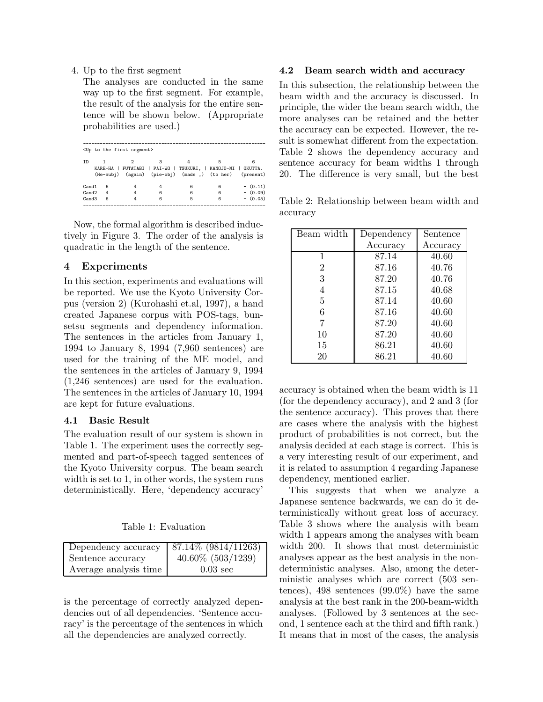4. Up to the first segment

The analyses are conducted in the same way up to the first segment. For example, the result of the analysis for the entire sentence will be shown below. (Appropriate probabilities are used.)

|                   |   | <up first="" segment="" the="" to=""></up> |   |                                                                                                                         |   |            |
|-------------------|---|--------------------------------------------|---|-------------------------------------------------------------------------------------------------------------------------|---|------------|
| TD                |   | 2                                          |   | KARE-HA   FUTATABI   PAI-WO   TSUKURI,   KANOJO-NI   OKUTTA.<br>(He-subj) (again) (pie-obj) (made, ) (to her) (present) | 5 | 6          |
| Cand1             | 6 |                                            |   | 6                                                                                                                       | 6 | $-$ (0.11) |
| Cand <sub>2</sub> | 4 | 4                                          | 6 | 6                                                                                                                       | 6 | $-$ (0.09) |
| Cand <sub>3</sub> | 6 |                                            | 6 | 5                                                                                                                       | 6 | $-$ (0.05) |
|                   |   |                                            |   |                                                                                                                         |   |            |

Now, the formal algorithm is described inductively in Figure 3. The order of the analysis is quadratic in the length of the sentence.

# **4 Experiments**

In this section, experiments and evaluations will be reported. We use the Kyoto University Corpus (version 2) (Kurohashi et.al, 1997), a hand created Japanese corpus with POS-tags, bunsetsu segments and dependency information. The sentences in the articles from January 1, 1994 to January 8, 1994 (7,960 sentences) are used for the training of the ME model, and the sentences in the articles of January 9, 1994 (1,246 sentences) are used for the evaluation. The sentences in the articles of January 10, 1994 are kept for future evaluations.

## **4.1 Basic Result**

The evaluation result of our system is shown in Table 1. The experiment uses the correctly segmented and part-of-speech tagged sentences of the Kyoto University corpus. The beam search width is set to 1, in other words, the system runs deterministically. Here, 'dependency accuracy'

Table 1: Evaluation

| Dependency accuracy   | $87.14\%$ (9814/11263) |
|-----------------------|------------------------|
| Sentence accuracy     | $40.60\%$ $(503/1239)$ |
| Average analysis time | $0.03 \text{ sec}$     |

is the percentage of correctly analyzed dependencies out of all dependencies. 'Sentence accuracy' is the percentage of the sentences in which all the dependencies are analyzed correctly.

## **4.2 Beam search width and accuracy**

In this subsection, the relationship between the beam width and the accuracy is discussed. In principle, the wider the beam search width, the more analyses can be retained and the better the accuracy can be expected. However, the result is somewhat different from the expectation. Table 2 shows the dependency accuracy and sentence accuracy for beam widths 1 through 20. The difference is very small, but the best

Table 2: Relationship between beam width and accuracy

| Beam width | Dependency | Sentence |
|------------|------------|----------|
|            | Accuracy   | Accuracy |
| 1          | 87.14      | 40.60    |
| 2          | 87.16      | 40.76    |
| 3          | 87.20      | 40.76    |
| 4          | 87.15      | 40.68    |
| 5          | 87.14      | 40.60    |
| 6          | 87.16      | 40.60    |
| 7          | 87.20      | 40.60    |
| 10         | 87.20      | 40.60    |
| 15         | 86.21      | 40.60    |
| 20         | 86.21      | 40.60    |

accuracy is obtained when the beam width is 11 (for the dependency accuracy), and 2 and 3 (for the sentence accuracy). This proves that there are cases where the analysis with the highest product of probabilities is not correct, but the analysis decided at each stage is correct. This is a very interesting result of our experiment, and it is related to assumption 4 regarding Japanese dependency, mentioned earlier.

This suggests that when we analyze a Japanese sentence backwards, we can do it deterministically without great loss of accuracy. Table 3 shows where the analysis with beam width 1 appears among the analyses with beam width 200. It shows that most deterministic analyses appear as the best analysis in the nondeterministic analyses. Also, among the deterministic analyses which are correct (503 sentences), 498 sentences  $(99.0\%)$  have the same analysis at the best rank in the 200-beam-width analyses. (Followed by 3 sentences at the second, 1 sentence each at the third and fifth rank.) It means that in most of the cases, the analysis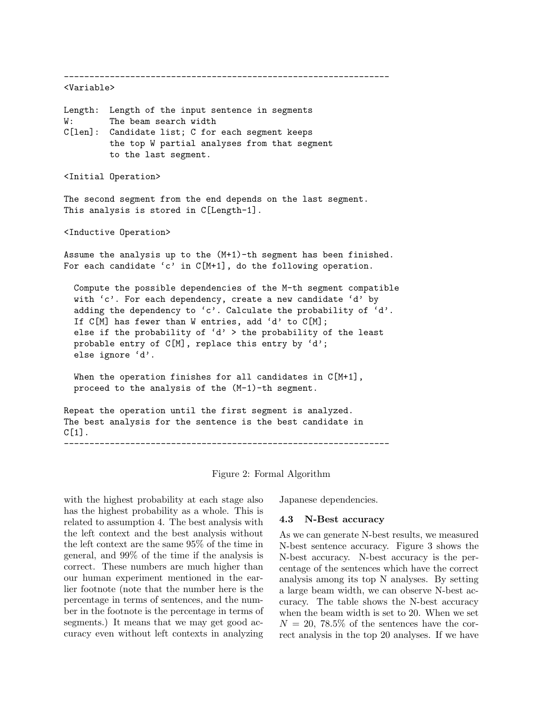----------------------------------------------------------------

## <Variable>

Length: Length of the input sentence in segments W: The beam search width C[len]: Candidate list; C for each segment keeps the top W partial analyses from that segment to the last segment.

<Initial Operation>

The second segment from the end depends on the last segment. This analysis is stored in C[Length-1].

<Inductive Operation>

Assume the analysis up to the (M+1)-th segment has been finished. For each candidate 'c' in C[M+1], do the following operation.

Compute the possible dependencies of the M-th segment compatible with 'c'. For each dependency, create a new candidate 'd' by adding the dependency to 'c'. Calculate the probability of 'd'. If  $C[M]$  has fewer than W entries, add 'd' to  $C[M]$ ; else if the probability of  $'d'$  > the probability of the least probable entry of C[M], replace this entry by 'd'; else ignore 'd'.

When the operation finishes for all candidates in  $C[M+1]$ , proceed to the analysis of the (M-1)-th segment.

Repeat the operation until the first segment is analyzed. The best analysis for the sentence is the best candidate in  $C[1]$ . ----------------------------------------------------------------

Figure 2: Formal Algorithm

with the highest probability at each stage also has the highest probability as a whole. This is related to assumption 4. The best analysis with the left context and the best analysis without the left context are the same 95% of the time in general, and 99% of the time if the analysis is correct. These numbers are much higher than our human experiment mentioned in the earlier footnote (note that the number here is the percentage in terms of sentences, and the number in the footnote is the percentage in terms of segments.) It means that we may get good accuracy even without left contexts in analyzing

Japanese dependencies.

#### **4.3 N-Best accuracy**

As we can generate N-best results, we measured N-best sentence accuracy. Figure 3 shows the N-best accuracy. N-best accuracy is the percentage of the sentences which have the correct analysis among its top N analyses. By setting a large beam width, we can observe N-best accuracy. The table shows the N-best accuracy when the beam width is set to 20. When we set  $N = 20, 78.5\%$  of the sentences have the correct analysis in the top 20 analyses. If we have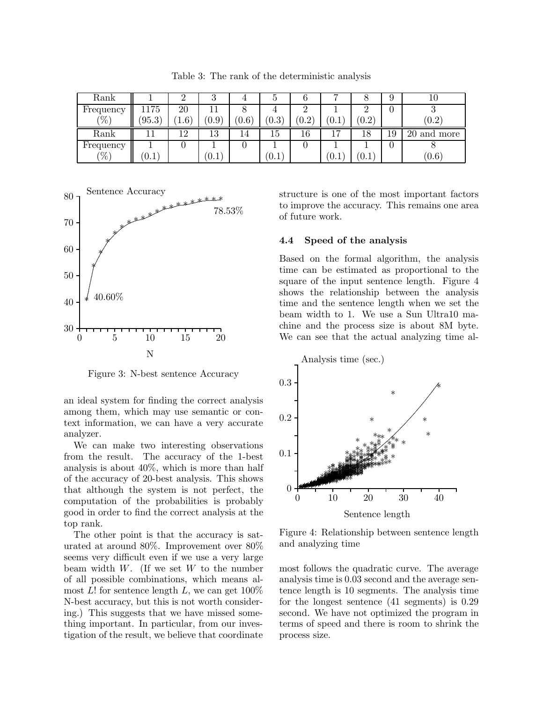Table 3: The rank of the deterministic analysis

| Rank      |        |               | IJ                 | $\mathbf +$ | G                   | O              |                    |       | 9  | ΤÛ             |
|-----------|--------|---------------|--------------------|-------------|---------------------|----------------|--------------------|-------|----|----------------|
| Frequency | 1175   | 20            |                    | 8           | 4                   | 2              |                    |       | 0  | v              |
| $(\% )$   | (95.3) | $1.6^{\circ}$ | $\left(0.9\right)$ | (0.6)       | $\left( 0.3\right)$ | $^{\prime}0.2$ | $\left(0.1\right)$ | (0.2) |    | (0.2)          |
| Rank      |        | 12            | 13                 | 14          | 15                  | 16             | 17                 | 18    | 19 | 20<br>and more |
|           |        |               |                    |             |                     |                |                    |       |    |                |
| Frequency |        |               |                    |             |                     | U              |                    |       | U  |                |



Figure 3: N-best sentence Accuracy

an ideal system for finding the correct analysis among them, which may use semantic or context information, we can have a very accurate analyzer.

We can make two interesting observations from the result. The accuracy of the 1-best analysis is about 40%, which is more than half of the accuracy of 20-best analysis. This shows that although the system is not perfect, the computation of the probabilities is probably good in order to find the correct analysis at the top rank.

The other point is that the accuracy is saturated at around 80%. Improvement over 80% seems very difficult even if we use a very large beam width  $W$ . (If we set  $W$  to the number of all possible combinations, which means almost L! for sentence length L, we can get  $100\%$ N-best accuracy, but this is not worth considering.) This suggests that we have missed something important. In particular, from our investigation of the result, we believe that coordinate structure is one of the most important factors to improve the accuracy. This remains one area of future work.

#### **4.4 Speed of the analysis**

Based on the formal algorithm, the analysis time can be estimated as proportional to the square of the input sentence length. Figure 4 shows the relationship between the analysis time and the sentence length when we set the beam width to 1. We use a Sun Ultra10 machine and the process size is about 8M byte. We can see that the actual analyzing time al-



Figure 4: Relationship between sentence length and analyzing time

most follows the quadratic curve. The average analysis time is 0.03 second and the average sentence length is 10 segments. The analysis time for the longest sentence (41 segments) is 0.29 second. We have not optimized the program in terms of speed and there is room to shrink the process size.